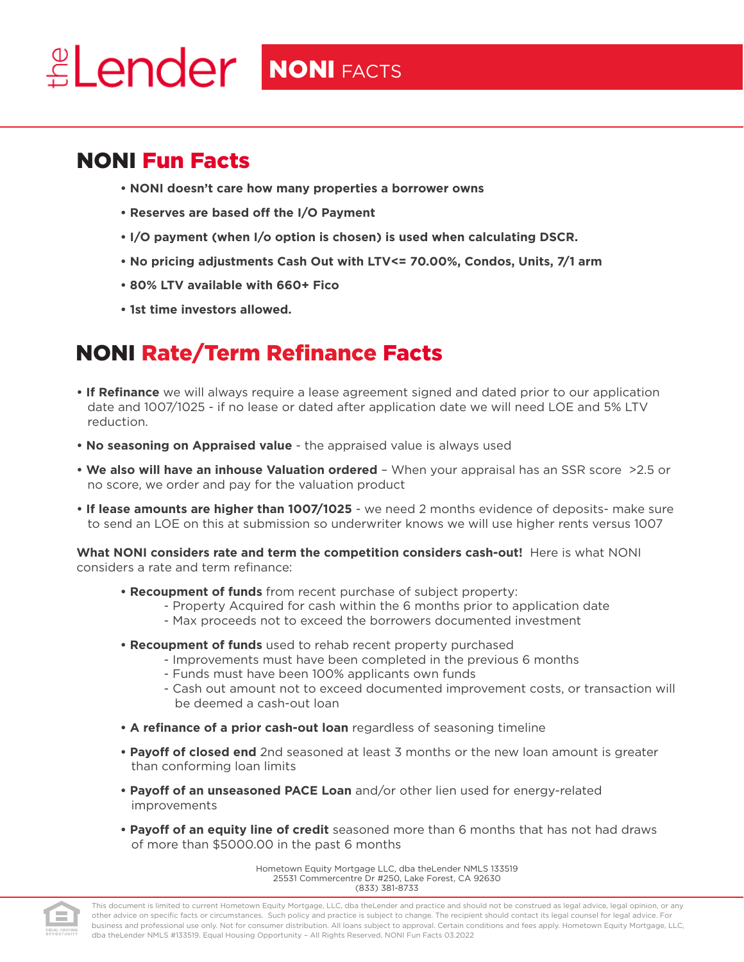# **ELender NONIFACTS**

#### NONI Fun Facts

- **NONI doesn't care how many properties a borrower owns**
- **Reserves are based off the I/O Payment**
- **I/O payment (when I/o option is chosen) is used when calculating DSCR.**
- **No pricing adjustments Cash Out with LTV<= 70.00%, Condos, Units, 7/1 arm**
- **80% LTV available with 660+ Fico**
- **1st time investors allowed.**

### NONI Rate/Term Refinance Facts

- **If Refinance** we will always require a lease agreement signed and dated prior to our application date and 1007/1025 - if no lease or dated after application date we will need LOE and 5% LTV reduction.
- **No seasoning on Appraised value** the appraised value is always used
- **We also will have an inhouse Valuation ordered** When your appraisal has an SSR score >2.5 or no score, we order and pay for the valuation product
- **If lease amounts are higher than 1007/1025**  we need 2 months evidence of deposits- make sure to send an LOE on this at submission so underwriter knows we will use higher rents versus 1007

**What NONI considers rate and term the competition considers cash-out!** Here is what NONI considers a rate and term refinance:

- **Recoupment of funds** from recent purchase of subject property:
	- Property Acquired for cash within the 6 months prior to application date
	- Max proceeds not to exceed the borrowers documented investment
- **Recoupment of funds** used to rehab recent property purchased
	- Improvements must have been completed in the previous 6 months
	- Funds must have been 100% applicants own funds
	- Cash out amount not to exceed documented improvement costs, or transaction will be deemed a cash-out loan
- **A refinance of a prior cash-out loan** regardless of seasoning timeline
- **Payoff of closed end** 2nd seasoned at least 3 months or the new loan amount is greater than conforming loan limits
- **Payoff of an unseasoned PACE Loan** and/or other lien used for energy-related improvements
- **Payoff of an equity line of credit** seasoned more than 6 months that has not had draws of more than \$5000.00 in the past 6 months

Hometown Equity Mortgage LLC, dba theLender NMLS 133519 25531 Commercentre Dr #250, Lake Forest, CA 92630 (833) 381-8733